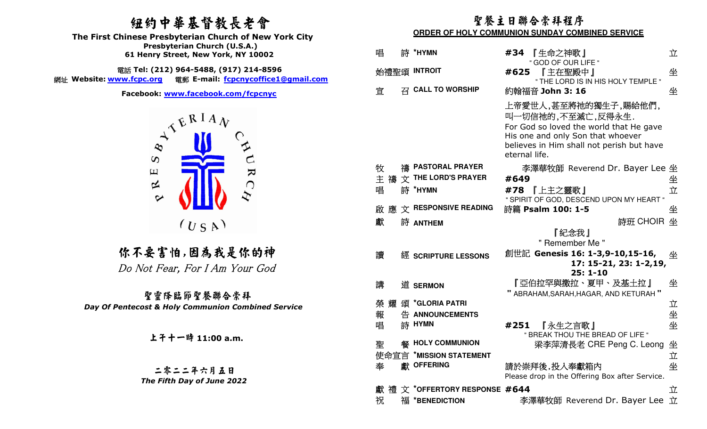# 紐約中華基督教長老會

  **Presbyterian Church (U.S.A.) The First Chinese Presbyterian Church of New York City 61 Henry Street, New York, NY 10002**

電話 Tel: (212) 964-5488, (917) 214-8596 **Tel: (212) 964-5488, (917) 214-8596** 網址 **Website: www.fcpc.org** 電郵 **E-mail: fcpcnycoffice1@gmail.com**



聖靈降臨節聖餐聯合崇拜 *Day Of Pentecost & Holy Communion Combined Service*

# 聖餐主日聯合崇拜程序

#### **ORDER OF HOLY COMMUNION SUNDAY COMBINED SERVICE**

| Presbyteman Church (0.3.A.)<br>61 Henry Street, New York, NY 10002                          | 唱    | 詩 *HYMN                                    | #34 【生命之神歌】<br>" GOD OF OUR LIFE "                                                                                                                                                      | 立  |
|---------------------------------------------------------------------------------------------|------|--------------------------------------------|-----------------------------------------------------------------------------------------------------------------------------------------------------------------------------------------|----|
| i話 Tel: (212) 964-5488, (917) 214-8596<br>電郵 E-mail: fcpcnycoffice1@gmail.com<br>w.fcpc.org |      | 始禮聖頌 INTROIT                               | #625<br>『主在聖殿中』<br>" THE LORD IS IN HIS HOLY TEMPLE "                                                                                                                                   | 坐  |
| Facebook: www.facebook.com/fcpcnyc                                                          | 宣    | $\overline{z}$ CALL TO WORSHIP             | 約翰福音 John 3: 16                                                                                                                                                                         | 坐  |
| $A^{A^{E_{RIA}}}$<br>$\infty$                                                               |      |                                            | 上帝愛世人,甚至將祂的獨生子,賜給他們,<br>叫一切信祂的,不至滅亡,反得永生.<br>For God so loved the world that He gave<br>His one and only Son that whoever<br>believes in Him shall not perish but have<br>eternal life. |    |
| $\mathbf{R}$<br>$\Xi$                                                                       | 牧    | 禱 PASTORAL PRAYER                          | 李澤華牧師 Reverend Dr. Bayer Lee 坐                                                                                                                                                          |    |
| 区                                                                                           | 主    | 禱 文 THE LORD'S PRAYER                      | #649                                                                                                                                                                                    | 坐  |
| $C_{\zeta}$                                                                                 | 唱    | 詩 *HYMN                                    | #78 【上主之靈歌】                                                                                                                                                                             | 立  |
| $\sim$                                                                                      |      |                                            | " SPIRIT OF GOD, DESCEND UPON MY HEART "                                                                                                                                                |    |
|                                                                                             | 啟應   | $\overrightarrow{\chi}$ RESPONSIVE READING | 詩篇 Psalm 100: 1-5                                                                                                                                                                       | 坐  |
| $(U_S A)$                                                                                   | 獻    | 詩 ANTHEM                                   | 詩班 CHOIR 坐                                                                                                                                                                              |    |
|                                                                                             |      |                                            |                                                                                                                                                                                         |    |
|                                                                                             |      |                                            | 『紀念我』<br>" Remember Me "                                                                                                                                                                |    |
| 尔不要害怕,因為我是你的神                                                                               | 讀    |                                            | 創世記 Genesis 16: 1-3,9-10,15-16,                                                                                                                                                         | 坐  |
| Do Not Fear, For I Am Your God                                                              |      | 經 SCRIPTURE LESSONS                        | 17: 15-21, 23: 1-2,19,                                                                                                                                                                  |    |
|                                                                                             |      |                                            | $25:1 - 10$                                                                                                                                                                             |    |
|                                                                                             | 講    | 道 SERMON                                   | 『亞伯拉罕與撒拉、夏甲、及基土拉』<br>" ABRAHAM, SARAH, HAGAR, AND KETURAH"                                                                                                                              | 坐  |
| 聖靈降臨節聖餐聯合崇拜                                                                                 | 榮 耀  | 頌 *GLORIA PATRI                            |                                                                                                                                                                                         |    |
| ntecost & Holy Communion Combined Service                                                   | 報    | 告 ANNOUNCEMENTS                            |                                                                                                                                                                                         | 立  |
|                                                                                             | 唱    | 詩 HYMN                                     | #251<br>『永生之言歌』                                                                                                                                                                         |    |
|                                                                                             |      |                                            | " BREAK THOU THE BREAD OF LIFE "                                                                                                                                                        | 坐坐 |
| 上午十一時 11:00 a.m.                                                                            | 聖    | <b>餐 HOLY COMMUNION</b>                    | 梁李萍清長老 CRE Peng C. Leong 坐                                                                                                                                                              |    |
|                                                                                             | 使命宣言 | <b>*MISSION STATEMENT</b>                  |                                                                                                                                                                                         | 立  |
|                                                                                             | 奉    | 獻 OFFERING                                 | 請於崇拜後,投入奉獻箱内                                                                                                                                                                            | 坐  |
| 二零二二年六月五日                                                                                   |      |                                            | Please drop in the Offering Box after Service.                                                                                                                                          |    |
| The Fifth Day of June 2022                                                                  | 獻    | 禮 文 *OFFERTORY RESPONSE #644               |                                                                                                                                                                                         | 立  |
|                                                                                             | 祝    | 福 *BENEDICTION                             | 李澤華牧師 Reverend Dr. Bayer Lee 立                                                                                                                                                          |    |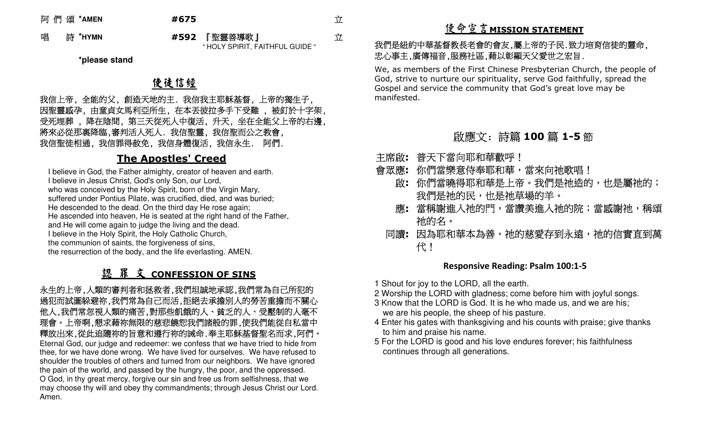阿 們 頌 **\*AMEN #675** 立

立

唱 詩 **\*HYMN #592**

 『<sup>聖</sup>靈善導歌』" HOLY SPIRIT, FAITHFUL GUIDE "

**\*please stand** 

# 使徒信經

 我信上帝, 全能的父, 創造天地的主. 我信我主耶穌基督, 上帝的獨生子, 因聖靈感孕, 由童貞女馬利亞所生, 在本丟彼拉多手下受難 , 被釘於十字架, 受死埋葬 , 降在陰間, 第三天從死人中復活, 升天, 坐在全能父上帝的右邊, 將來必從那裏降臨,審判活人死人. 我信聖靈, 我信聖而公之教會, 我信聖徒相通, 我信罪得赦免, 我信身體復活, 我信永生. 阿們.

## **The Apostles' Creed**

I believe in God, the Father almighty, creator of heaven and earth. I believe in Jesus Christ, God's only Son, our Lord, who was conceived by the Holy Spirit, born of the Virgin Mary, suffered under Pontius Pilate, was crucified, died, and was buried; He descended to the dead. On the third day He rose again; He ascended into heaven, He is seated at the right hand of the Father, and He will come again to judge the living and the dead. I believe in the Holy Spirit, the Holy Catholic Church, the communion of saints, the forgiveness of sins, the resurrection of the body, and the life everlasting. AMEN.

# 認 罪 文 **CONFESSION OF SINS**

 永生的上帝,人類的審判者和拯救者,我們坦誠地承認,我們常為自己所犯的 過犯而試圖躲避祢,我們常為自己而活,拒絕去承擔別人的勞苦重擔而不關心 他人,我們常忽視人類的痛苦,對那些飢餓的人、貧乏的人、受壓制的人毫不 理會。上帝啊,懇求藉祢無限的慈悲饒恕我們諸般的罪,使我們能從自私當中 釋放出來,從此追隨祢的旨意和遵行祢的誡命.奉主耶穌基督聖名而求,阿們。 Eternal God, our judge and redeemer: we confess that we have tried to hide from thee, for we have done wrong. We have lived for ourselves. We have refused to shoulder the troubles of others and turned from our neighbors. We have ignored the pain of the world, and passed by the hungry, the poor, and the oppressed. O God, in thy great mercy, forgive our sin and free us from selfishness, that we may choose thy will and obey thy commandments; through Jesus Christ our Lord. Amen.

# 使命宣言**MISSION STATEMENT**

### 我們是紐約中華基督教長老會的會友,屬上帝的子民.致力培育信徒的靈命, 忠心事主,廣傳福音,服務社區,藉以彰顯天父愛世之宏旨.

 We, as members of the First Chinese Presbyterian Church, the people of God, strive to nurture our spirituality, serve God faithfully, spread the Gospel and service the community that God's great love may be manifested.

# 啟應文: 詩篇 **<sup>100</sup>** 篇 **1-5**節

- 主席啟**:** 普天下當向耶和華歡呼!
- 會眾應**:** 你你們當樂意侍奉耶和華,當來向祂歌唱!
	- 啟**:** 你們當曉得耶和華是上帝。我們是祂造的,也是屬祂的; 我們是祂的民,也是祂草場的羊。
	- 應**:** 當稱謝進入祂的門,當讚美進入祂的院;當感謝祂,稱頌 祂的名。
	- 同讀**:** 因為耶和華本為善,祂的慈愛存到永遠,祂的信實直到萬 代!

#### **Responsive Reading: Psalm 100:1-5**

- 1 Shout for joy to the LORD, all the earth.
- 2 Worship the LORD with gladness; come before him with joyful songs.
- 3 Know that the LORD is God. It is he who made us, and we are his; we are his people, the sheep of his pasture.
- 4 Enter his gates with thanksgiving and his counts with praise; give thanks to him and praise his name.
- 5 For the LORD is good and his love endures forever; his faithfulness continues through all generations.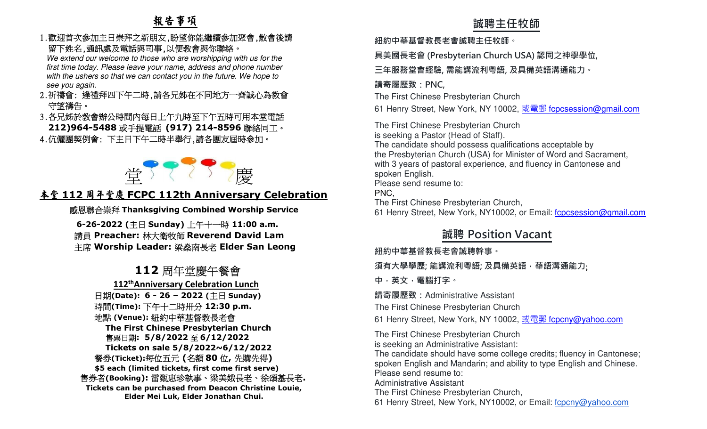### 1.歡迎首次參加主日崇拜之新朋友,盼望你能繼續參加聚會,散會後請 留下姓名,通訊處及電話與司事,以便教會與你聯絡。

 We extend our welcome to those who are worshipping with us for the first time today. Please leave your name, address and phone number with the ushers so that we can contact you in the future. We hope to see you again.

- 2.祈禱會: 逢禮拜四下午二時,請各兄姊在不同地方一齊誠心為教會 守望禱告。
- 3.各兄姊於教會辦公時間內每日上午九時至下午五時可用本堂電話 **212)964-5488**或手提電話 **(917) 214-8596**聯絡同工。
	- 4.伉儷團契例會: 下主日下午二時半舉行,請各團友屆時參加。



# **堂 全 〈 〈 〉 /慶**<br>本堂 112 周年堂慶 FCPC 112th Anniversary Celebration

感恩聯合崇拜 **Thanksgiving Combined Worship Service**

 **6-26-2022 (**主日 **Sunday)**  上午十一時 **11:00 a.m.** 講員 **Preacher:** 林大衛牧師 **Reverend David Lam**  主席 **Worship Leader:** 梁燊南長老 **Elder San Leong** 

# **112**周年堂慶午餐會

  **112thAnniversary Celebration Lunch** 日期**(Date): 6 - 26 – 2022 (**主日 **Sunday)**  時間**(Time):** 下午十二時卅分 **12:30 p.m.**  地點 **(Venue):** 紐約中華基督教長老會 **The First Chinese Presbyterian Church** 售票日期**: 5/8/2022**至 **6/12/2022 Tickets on sale 5/8/2022~6/12/2022**  餐券**(Ticket):**每位五元 **(**名額 **<sup>80</sup>** 位**,** 先購先得**)** ited tickets, first come first  **\$5 each (limited tickets, first come first serve)**  售券者**(Booking):** 雷甄惠珍執事、梁美娥長老、徐頌基長老**. Tickets can be purchased from Deacon Christine Louie, Elder Mei Luk, Elder Jonathan Chui.** 

# **誠聘主任牧師**

**紐約中華基督教⻑老會誠聘主任牧師。**

**具美國⻑老會 (Presbyterian Church USA) 認同之神學學位,** 

**三年服務堂會經驗, 需能講流利粵語, 及具備英語溝通能力。** 

### **請寄履歷致:PNC,**

The First Chinese Presbyterian Church

61 Henry Street, New York, NY 10002, <u>或電郵 f<mark>cpcsession@gmail.com</mark></u>

The First Chinese Presbyterian Church is seeking a Pastor (Head of Staff). The candidate should possess qualifications acceptable by the Presbyterian Church (USA) for Minister of Word and Sacrament, with 3 years of pastoral experience, and fluency in Cantonese and spoken English. Please send resume to: PNC,

The First Chinese Presbyterian Church,

61 Henry Street, New York, NY10002, or Email: fcpcsession@gmail.com

# **誠聘 Position Vacant**

**紐約中華基督教⻑老會誠聘幹事。**

**須有大學學歷; 能講流利粵語; 及具備英語,華語溝通能力**;

**中,英文,電腦打字。 請寄履歷致:**Administrative Assistant

The First Chinese Presbyterian Church

61 Henry Street, New York, NY 10002, <u>或電郵 f<mark>cpcny@yahoo.com</mark></u>

The First Chinese Presbyterian Churchis seeking an Administrative Assistant:

 The candidate should have some college credits; fluency in Cantonese; spoken English and Mandarin; and ability to type English and Chinese.Please send resume to:Administrative Assistant

The First Chinese Presbyterian Church,

61 Henry Street, New York, NY10002, or Email: fcpcny@yahoo.com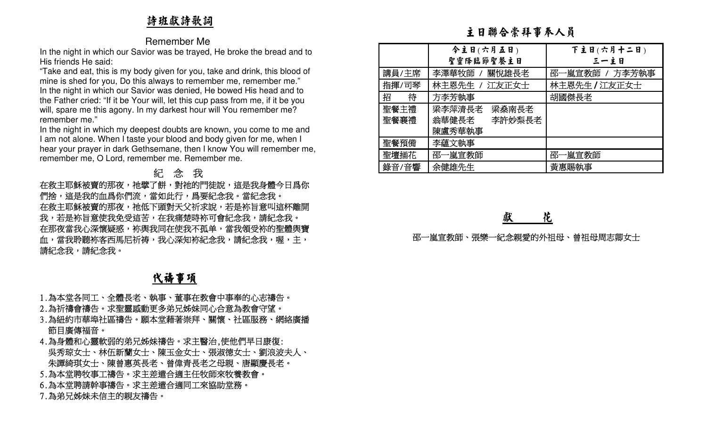# 詩班獻詩歌詞

#### Remember Me

# 紀 念 我

# 代禱事項

- 
- 
- 
- 
- 

|                                                                                                                                                                                                                                                                                                              | 主日聯合崇拜事奉人員                            |                 |                |
|--------------------------------------------------------------------------------------------------------------------------------------------------------------------------------------------------------------------------------------------------------------------------------------------------------------|---------------------------------------|-----------------|----------------|
| <b>Remember Me</b>                                                                                                                                                                                                                                                                                           |                                       |                 |                |
| In the night in which our Savior was be trayed, He broke the bread and to                                                                                                                                                                                                                                    |                                       | 今主日(六月五日)       | 下主日(六月十二日)     |
| His friends He said:                                                                                                                                                                                                                                                                                         |                                       | 聖靈降臨節聖餐主日       | 三一主日           |
| "Take and eat, this is my body given for you, take and drink, this blood of                                                                                                                                                                                                                                  | 講員/主席                                 | 李澤華牧師<br>關悅雄長老  | 邵一嵐宣教師 / 方李芳執事 |
| mine is shed for you, Do this always to remember me, remember me."<br>In the night in which our Savior was denied, He bowed His head and to                                                                                                                                                                  | 指揮/司琴                                 | 林主恩先生<br>江友正女士  | 林主恩先生 / 江友正女士  |
| the Father cried: "If it be Your will, let this cup pass from me, if it be you                                                                                                                                                                                                                               | 招<br>待                                | 方李芳執事           | 胡國傑長老          |
| will, spare me this agony. In my darkest hour will You remember me?                                                                                                                                                                                                                                          | 聖餐主禮                                  | 梁李萍清長老<br>梁燊南長老 |                |
| remember me."                                                                                                                                                                                                                                                                                                | 聖餐襄禮                                  | 翁華健長老<br>李許妙梨長老 |                |
| In the night in which my deepest doubts are known, you come to me and                                                                                                                                                                                                                                        |                                       | 陳盧秀華執事          |                |
| I am not alone. When I taste your blood and body given for me, when I                                                                                                                                                                                                                                        | 聖餐預備                                  | 李蘊文執事           |                |
| hear your prayer in dark Gethsemane, then I know You will remember me,<br>remember me, O Lord, remember me. Remember me.                                                                                                                                                                                     | 聖壇插花                                  | 邵一嵐宣教師          | 邵一嵐宣教師         |
| 紀念我                                                                                                                                                                                                                                                                                                          | 錄音/音響                                 | 余健雄先生           | 黃惠賜執事          |
| 在救主耶穌被賣的那夜,祂擘了餅,對祂的門徒說,這是我身體今日爲你<br>們捨,這是我的血爲你們流,當如此行,爲要紀念我。當紀念我。<br>在救主耶穌被賣的那夜,祂低下頭對天父祈求說,若是袮旨意叫這杯離開<br>我,若是袮旨意使我免受這苦,在我痛楚時袮可會紀念我,請紀念我。<br>在那夜當我心深懷疑惑,袮舆我同在使我不孤单,當我領受袮的聖體舆寶<br>血,當我聆聽袮客西馬尼祈祷,我心深知袮紀念我,請紀念我,喔,主,<br>請紀念我,請紀念我。                                                                               | 花<br>獻<br>邵一嵐宣教師、張樂一紀念親愛的外祖母、曾祖母周志卿女士 |                 |                |
| <u>代禱事項</u>                                                                                                                                                                                                                                                                                                  |                                       |                 |                |
| 1.為本堂各同工、全體長老、執事、董事在教會中事奉的心志禱告。<br>2.為祈禱會禱告。求聖靈感動更多弟兄姊妹同心合意為教會守望。<br>3.為紐約市華埠社區禱告。願本堂藉著崇拜、關懷、社區服務、網絡廣播<br>節目廣傳福音。<br>4.為身體和心靈軟弱的弟兄姊妹禱告。求主醫治,使他們早日康復:<br>吳秀琼女士、林伍新蘭女士、陳玉金女士、張淑德女士、劉浪波夫人、<br>- 朱譚綺琪女士、陳曾惠英長老、曾偉青長老之母親、唐顯慶長老。<br>5.為本堂聘牧事工禱告。求主差遣合適主任牧師來牧養教會。<br>6.為本堂聘請幹事禱告。求主差遣合適同工來協助堂務。<br>7.為弟兄姊妹未信主的親友禱告。 |                                       |                 |                |